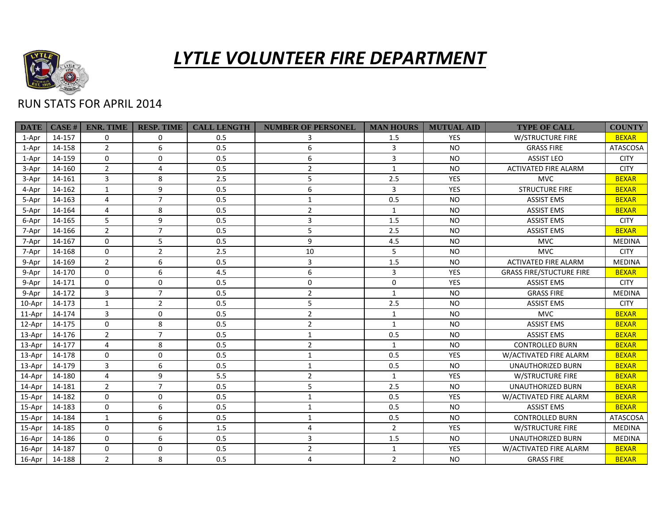

## *LYTLE VOLUNTEER FIRE DEPARTMENT*

## RUN STATS FOR APRIL 2014

| <b>DATE</b> | CASE H | <b>ENR. TIME</b> | <b>RESP. TIME</b> | <b>CALL LENGTH</b> | <b>NUMBER OF PERSONEL</b> | <b>MAN HOURS</b> | <b>MUTUAL AID</b> | <b>TYPE OF CALL</b>             | <b>COUNTY</b>   |
|-------------|--------|------------------|-------------------|--------------------|---------------------------|------------------|-------------------|---------------------------------|-----------------|
| 1-Apr       | 14-157 | $\Omega$         | $\mathbf 0$       | 0.5                | 3                         | 1.5              | <b>YES</b>        | W/STRUCTURE FIRE                | <b>BEXAR</b>    |
| 1-Apr       | 14-158 | $2^{\circ}$      | 6                 | 0.5                | 6                         | 3                | <b>NO</b>         | <b>GRASS FIRE</b>               | ATASCOSA        |
| 1-Apr       | 14-159 | $\mathbf 0$      | $\mathbf 0$       | 0.5                | 6                         | 3                | <b>NO</b>         | <b>ASSIST LEO</b>               | <b>CITY</b>     |
| 3-Apr       | 14-160 | $\overline{2}$   | 4                 | 0.5                | $\overline{2}$            | 1                | <b>NO</b>         | <b>ACTIVATED FIRE ALARM</b>     | <b>CITY</b>     |
| 3-Apr       | 14-161 | $\overline{3}$   | 8                 | 2.5                | 5                         | 2.5              | <b>YES</b>        | <b>MVC</b>                      | <b>BEXAR</b>    |
| 4-Apr       | 14-162 | $\mathbf{1}$     | 9                 | 0.5                | 6                         | $\overline{3}$   | <b>YES</b>        | <b>STRUCTURE FIRE</b>           | <b>BEXAR</b>    |
| 5-Apr       | 14-163 | 4                | $\overline{7}$    | 0.5                | $\mathbf{1}$              | 0.5              | <b>NO</b>         | <b>ASSIST EMS</b>               | <b>BEXAR</b>    |
| 5-Apr       | 14-164 | 4                | 8                 | 0.5                | $\overline{2}$            | 1                | NO.               | <b>ASSIST EMS</b>               | <b>BEXAR</b>    |
| 6-Apr       | 14-165 | 5                | 9                 | 0.5                | 3                         | 1.5              | <b>NO</b>         | <b>ASSIST EMS</b>               | <b>CITY</b>     |
| 7-Apr       | 14-166 | $\overline{2}$   | $\overline{7}$    | 0.5                | 5                         | 2.5              | <b>NO</b>         | <b>ASSIST EMS</b>               | <b>BEXAR</b>    |
| 7-Apr       | 14-167 | $\mathbf 0$      | 5                 | 0.5                | 9                         | 4.5              | <b>NO</b>         | <b>MVC</b>                      | <b>MEDINA</b>   |
| 7-Apr       | 14-168 | $\mathbf 0$      | $\overline{2}$    | 2.5                | 10                        | 5                | <b>NO</b>         | <b>MVC</b>                      | <b>CITY</b>     |
| 9-Apr       | 14-169 | $\overline{2}$   | 6                 | 0.5                | 3                         | 1.5              | <b>NO</b>         | <b>ACTIVATED FIRE ALARM</b>     | <b>MEDINA</b>   |
| 9-Apr       | 14-170 | $\Omega$         | 6                 | 4.5                | 6                         | 3                | <b>YES</b>        | <b>GRASS FIRE/STUCTURE FIRE</b> | <b>BEXAR</b>    |
| 9-Apr       | 14-171 | $\Omega$         | $\mathbf 0$       | 0.5                | $\Omega$                  | $\Omega$         | <b>YES</b>        | <b>ASSIST EMS</b>               | <b>CITY</b>     |
| 9-Apr       | 14-172 | 3                | $\overline{7}$    | 0.5                | $\overline{2}$            | $\mathbf{1}$     | <b>NO</b>         | <b>GRASS FIRE</b>               | <b>MEDINA</b>   |
| 10-Apr      | 14-173 | $\mathbf{1}$     | $\overline{2}$    | 0.5                | 5                         | 2.5              | <b>NO</b>         | <b>ASSIST EMS</b>               | <b>CITY</b>     |
| 11-Apr      | 14-174 | 3                | $\mathbf 0$       | 0.5                | $\overline{2}$            | $\mathbf{1}$     | <b>NO</b>         | <b>MVC</b>                      | <b>BEXAR</b>    |
| 12-Apr      | 14-175 | $\mathbf 0$      | 8                 | 0.5                | $\overline{2}$            | 1                | <b>NO</b>         | <b>ASSIST EMS</b>               | <b>BEXAR</b>    |
| 13-Apr      | 14-176 | $\overline{2}$   | $\overline{7}$    | 0.5                | $\mathbf{1}$              | 0.5              | <b>NO</b>         | <b>ASSIST EMS</b>               | <b>BEXAR</b>    |
| 13-Apr      | 14-177 | 4                | 8                 | 0.5                | $\overline{2}$            | $\mathbf{1}$     | <b>NO</b>         | <b>CONTROLLED BURN</b>          | <b>BEXAR</b>    |
| 13-Apr      | 14-178 | $\Omega$         | $\mathbf 0$       | 0.5                | $\mathbf{1}$              | 0.5              | <b>YES</b>        | W/ACTIVATED FIRE ALARM          | <b>BEXAR</b>    |
| 13-Apr      | 14-179 | 3                | $\boldsymbol{6}$  | 0.5                | 1                         | 0.5              | <b>NO</b>         | UNAUTHORIZED BURN               | <b>BEXAR</b>    |
| 14-Apr      | 14-180 | 4                | 9                 | 5.5                | $\overline{2}$            | 1                | YES               | <b>W/STRUCTURE FIRE</b>         | <b>BEXAR</b>    |
| 14-Apr      | 14-181 | $\overline{2}$   | $\overline{7}$    | 0.5                | 5                         | 2.5              | <b>NO</b>         | <b>UNAUTHORIZED BURN</b>        | <b>BEXAR</b>    |
| 15-Apr      | 14-182 | $\Omega$         | $\mathbf 0$       | 0.5                | $\mathbf{1}$              | 0.5              | <b>YES</b>        | W/ACTIVATED FIRE ALARM          | <b>BEXAR</b>    |
| 15-Apr      | 14-183 | $\Omega$         | 6                 | 0.5                | $\mathbf{1}$              | 0.5              | <b>NO</b>         | <b>ASSIST EMS</b>               | <b>BEXAR</b>    |
| 15-Apr      | 14-184 | $\mathbf{1}$     | 6                 | 0.5                | $\mathbf{1}$              | 0.5              | <b>NO</b>         | <b>CONTROLLED BURN</b>          | <b>ATASCOSA</b> |
| 15-Apr      | 14-185 | $\Omega$         | 6                 | 1.5                | $\overline{4}$            | $\overline{2}$   | YES               | W/STRUCTURE FIRE                | <b>MEDINA</b>   |
| 16-Apr      | 14-186 | $\Omega$         | 6                 | 0.5                | 3                         | 1.5              | <b>NO</b>         | UNAUTHORIZED BURN               | <b>MEDINA</b>   |
| 16-Apr      | 14-187 | $\mathbf 0$      | $\mathbf 0$       | 0.5                | $\overline{2}$            | $\mathbf{1}$     | YES               | W/ACTIVATED FIRE ALARM          | <b>BEXAR</b>    |
| 16-Apr      | 14-188 | $\overline{2}$   | 8                 | 0.5                | 4                         | $\overline{2}$   | <b>NO</b>         | <b>GRASS FIRE</b>               | <b>BEXAR</b>    |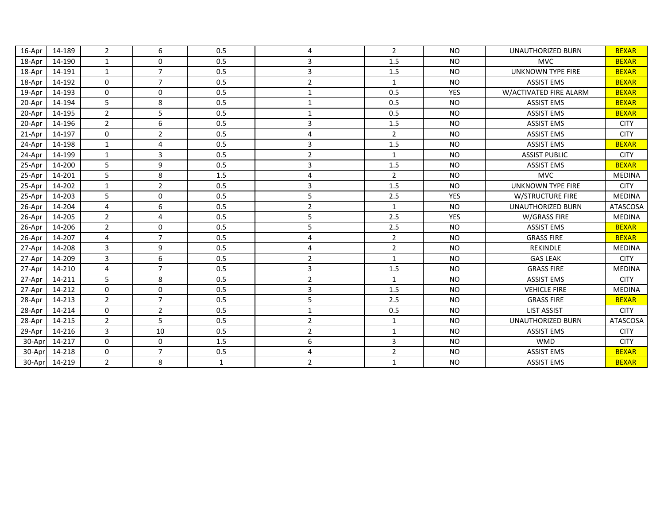| 16-Apr | 14-189 | $\overline{2}$ | 6              | 0.5          | 4              | $\overline{2}$ | <b>NO</b>  | <b>UNAUTHORIZED BURN</b> | <b>BEXAR</b>    |
|--------|--------|----------------|----------------|--------------|----------------|----------------|------------|--------------------------|-----------------|
| 18-Apr | 14-190 | $\mathbf{1}$   | $\mathbf 0$    | 0.5          | 3              | 1.5            | <b>NO</b>  | <b>MVC</b>               | <b>BEXAR</b>    |
| 18-Apr | 14-191 | $\mathbf{1}$   | $\overline{7}$ | 0.5          | 3              | 1.5            | <b>NO</b>  | <b>UNKNOWN TYPE FIRE</b> | <b>BEXAR</b>    |
| 18-Apr | 14-192 | $\Omega$       | $\overline{7}$ | 0.5          | $\overline{2}$ | $\mathbf{1}$   | <b>NO</b>  | <b>ASSIST EMS</b>        | <b>BEXAR</b>    |
| 19-Apr | 14-193 | $\mathbf 0$    | $\mathbf 0$    | 0.5          | $\mathbf{1}$   | 0.5            | <b>YES</b> | W/ACTIVATED FIRE ALARM   | <b>BEXAR</b>    |
| 20-Apr | 14-194 | 5              | 8              | 0.5          | $\mathbf{1}$   | 0.5            | <b>NO</b>  | <b>ASSIST EMS</b>        | <b>BEXAR</b>    |
| 20-Apr | 14-195 | $\overline{2}$ | 5              | 0.5          | $\mathbf{1}$   | 0.5            | <b>NO</b>  | <b>ASSIST EMS</b>        | <b>BEXAR</b>    |
| 20-Apr | 14-196 | $\overline{2}$ | 6              | 0.5          | 3              | 1.5            | <b>NO</b>  | <b>ASSIST EMS</b>        | <b>CITY</b>     |
| 21-Apr | 14-197 | $\Omega$       | $\overline{2}$ | 0.5          | 4              | $\overline{2}$ | <b>NO</b>  | <b>ASSIST EMS</b>        | <b>CITY</b>     |
| 24-Apr | 14-198 | $\mathbf{1}$   | $\overline{4}$ | 0.5          | 3              | 1.5            | <b>NO</b>  | <b>ASSIST EMS</b>        | <b>BEXAR</b>    |
| 24-Apr | 14-199 | $\mathbf{1}$   | 3              | 0.5          | $\overline{2}$ | $\mathbf{1}$   | <b>NO</b>  | <b>ASSIST PUBLIC</b>     | <b>CITY</b>     |
| 25-Apr | 14-200 | 5              | 9              | 0.5          | 3              | 1.5            | <b>NO</b>  | <b>ASSIST EMS</b>        | <b>BEXAR</b>    |
| 25-Apr | 14-201 | 5              | 8              | 1.5          | 4              | $\overline{2}$ | <b>NO</b>  | <b>MVC</b>               | <b>MEDINA</b>   |
| 25-Apr | 14-202 | $\mathbf{1}$   | $\overline{2}$ | 0.5          | 3              | 1.5            | <b>NO</b>  | <b>UNKNOWN TYPE FIRE</b> | <b>CITY</b>     |
| 25-Apr | 14-203 | 5              | $\mathbf 0$    | 0.5          | 5              | 2.5            | YES        | <b>W/STRUCTURE FIRE</b>  | <b>MEDINA</b>   |
| 26-Apr | 14-204 | $\overline{4}$ | 6              | 0.5          | $\overline{2}$ | $\mathbf{1}$   | <b>NO</b>  | <b>UNAUTHORIZED BURN</b> | <b>ATASCOSA</b> |
| 26-Apr | 14-205 | $\overline{2}$ | 4              | 0.5          | 5              | 2.5            | <b>YES</b> | W/GRASS FIRE             | <b>MEDINA</b>   |
| 26-Apr | 14-206 | $\overline{2}$ | $\mathbf 0$    | 0.5          | 5              | 2.5            | <b>NO</b>  | <b>ASSIST EMS</b>        | <b>BEXAR</b>    |
| 26-Apr | 14-207 | 4              | $\overline{7}$ | 0.5          | 4              | $\overline{2}$ | <b>NO</b>  | <b>GRASS FIRE</b>        | <b>BEXAR</b>    |
| 27-Apr | 14-208 | 3              | 9              | 0.5          | 4              | $\overline{2}$ | <b>NO</b>  | <b>REKINDLE</b>          | <b>MEDINA</b>   |
| 27-Apr | 14-209 | 3              | 6              | 0.5          | $\overline{2}$ | $\mathbf{1}$   | <b>NO</b>  | <b>GAS LEAK</b>          | <b>CITY</b>     |
| 27-Apr | 14-210 | $\overline{4}$ | $\overline{7}$ | 0.5          | 3              | 1.5            | <b>NO</b>  | <b>GRASS FIRE</b>        | <b>MEDINA</b>   |
| 27-Apr | 14-211 | 5              | 8              | 0.5          | $\overline{2}$ | 1              | <b>NO</b>  | <b>ASSIST EMS</b>        | <b>CITY</b>     |
| 27-Apr | 14-212 | $\Omega$       | $\mathbf 0$    | 0.5          | 3              | 1.5            | <b>NO</b>  | <b>VEHICLE FIRE</b>      | <b>MEDINA</b>   |
| 28-Apr | 14-213 | $\overline{2}$ | $\overline{7}$ | 0.5          | 5              | 2.5            | <b>NO</b>  | <b>GRASS FIRE</b>        | <b>BEXAR</b>    |
| 28-Apr | 14-214 | $\mathbf 0$    | $\overline{2}$ | 0.5          | $\mathbf{1}$   | 0.5            | <b>NO</b>  | <b>LIST ASSIST</b>       | <b>CITY</b>     |
| 28-Apr | 14-215 | $\overline{2}$ | 5              | 0.5          | $\overline{2}$ | $\mathbf{1}$   | <b>NO</b>  | <b>UNAUTHORIZED BURN</b> | <b>ATASCOSA</b> |
| 29-Apr | 14-216 | 3              | 10             | 0.5          | $\overline{2}$ | $\mathbf{1}$   | <b>NO</b>  | <b>ASSIST EMS</b>        | <b>CITY</b>     |
| 30-Apr | 14-217 | $\Omega$       | $\mathbf 0$    | 1.5          | 6              | 3              | <b>NO</b>  | <b>WMD</b>               | <b>CITY</b>     |
| 30-Apr | 14-218 | $\mathbf 0$    | $\overline{7}$ | 0.5          | 4              | $\overline{2}$ | <b>NO</b>  | <b>ASSIST EMS</b>        | <b>BEXAR</b>    |
| 30-Apr | 14-219 | $\overline{2}$ | 8              | $\mathbf{1}$ | $\overline{2}$ | $\mathbf{1}$   | <b>NO</b>  | <b>ASSIST EMS</b>        | <b>BEXAR</b>    |